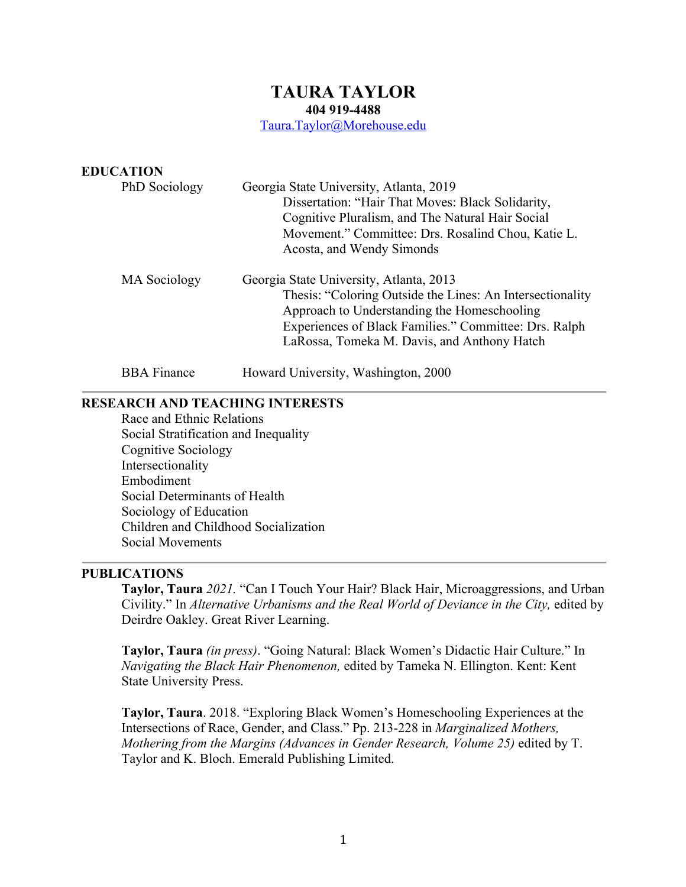# **TAURA TAYLOR**

**404 919-4488**

Taura.Taylor@Morehouse.edu

| <b>EDUCATION</b>   |                                                                                                                                                                                                                                                             |
|--------------------|-------------------------------------------------------------------------------------------------------------------------------------------------------------------------------------------------------------------------------------------------------------|
| PhD Sociology      | Georgia State University, Atlanta, 2019<br>Dissertation: "Hair That Moves: Black Solidarity,<br>Cognitive Pluralism, and The Natural Hair Social<br>Movement." Committee: Drs. Rosalind Chou, Katie L.<br>Acosta, and Wendy Simonds                         |
| MA Sociology       | Georgia State University, Atlanta, 2013<br>Thesis: "Coloring Outside the Lines: An Intersectionality<br>Approach to Understanding the Homeschooling<br>Experiences of Black Families." Committee: Drs. Ralph<br>LaRossa, Tomeka M. Davis, and Anthony Hatch |
| <b>BBA</b> Finance | Howard University, Washington, 2000                                                                                                                                                                                                                         |

## **RESEARCH AND TEACHING INTERESTS**

Race and Ethnic Relations Social Stratification and Inequality Cognitive Sociology Intersectionality Embodiment Social Determinants of Health Sociology of Education Children and Childhood Socialization Social Movements

## **PUBLICATIONS**

**Taylor, Taura** *2021.* "Can I Touch Your Hair? Black Hair, Microaggressions, and Urban Civility." In *Alternative Urbanisms and the Real World of Deviance in the City,* edited by Deirdre Oakley. Great River Learning.

**Taylor, Taura** *(in press)*. "Going Natural: Black Women's Didactic Hair Culture." In *Navigating the Black Hair Phenomenon,* edited by Tameka N. Ellington. Kent: Kent State University Press.

**Taylor, Taura**. 2018. "Exploring Black Women's Homeschooling Experiences at the Intersections of Race, Gender, and Class." Pp. 213-228 in *Marginalized Mothers, Mothering from the Margins (Advances in Gender Research, Volume 25)* edited by T. Taylor and K. Bloch. Emerald Publishing Limited.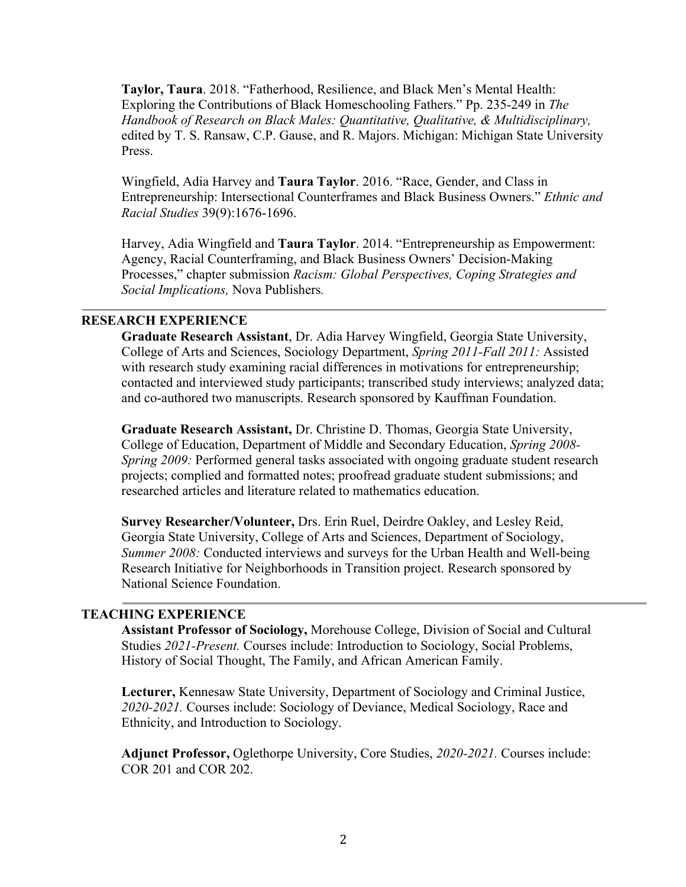**Taylor, Taura**. 2018. "Fatherhood, Resilience, and Black Men's Mental Health: Exploring the Contributions of Black Homeschooling Fathers." Pp. 235-249 in *The Handbook of Research on Black Males: Quantitative, Qualitative, & Multidisciplinary,*  edited by T. S. Ransaw, C.P. Gause, and R. Majors. Michigan: Michigan State University Press.

Wingfield, Adia Harvey and **Taura Taylor**. 2016. "Race, Gender, and Class in Entrepreneurship: Intersectional Counterframes and Black Business Owners." *Ethnic and Racial Studies* 39(9):1676-1696.

Harvey, Adia Wingfield and **Taura Taylor**. 2014. "Entrepreneurship as Empowerment: Agency, Racial Counterframing, and Black Business Owners' Decision-Making Processes," chapter submission *Racism: Global Perspectives, Coping Strategies and Social Implications,* Nova Publishers*.*

# **RESEARCH EXPERIENCE**

**Graduate Research Assistant**, Dr. Adia Harvey Wingfield, Georgia State University, College of Arts and Sciences, Sociology Department, *Spring 2011-Fall 2011:* Assisted with research study examining racial differences in motivations for entrepreneurship; contacted and interviewed study participants; transcribed study interviews; analyzed data; and co-authored two manuscripts. Research sponsored by Kauffman Foundation.

**Graduate Research Assistant,** Dr. Christine D. Thomas, Georgia State University, College of Education, Department of Middle and Secondary Education, *Spring 2008- Spring 2009:* Performed general tasks associated with ongoing graduate student research projects; complied and formatted notes; proofread graduate student submissions; and researched articles and literature related to mathematics education.

**Survey Researcher/Volunteer,** Drs. Erin Ruel, Deirdre Oakley, and Lesley Reid, Georgia State University, College of Arts and Sciences, Department of Sociology, *Summer 2008:* Conducted interviews and surveys for the Urban Health and Well-being Research Initiative for Neighborhoods in Transition project. Research sponsored by National Science Foundation.

## **TEACHING EXPERIENCE**

**Assistant Professor of Sociology,** Morehouse College, Division of Social and Cultural Studies *2021-Present.* Courses include: Introduction to Sociology, Social Problems, History of Social Thought, The Family, and African American Family.

**Lecturer,** Kennesaw State University, Department of Sociology and Criminal Justice, *2020-2021.* Courses include: Sociology of Deviance, Medical Sociology, Race and Ethnicity, and Introduction to Sociology.

**Adjunct Professor,** Oglethorpe University, Core Studies, *2020-2021.* Courses include: COR 201 and COR 202.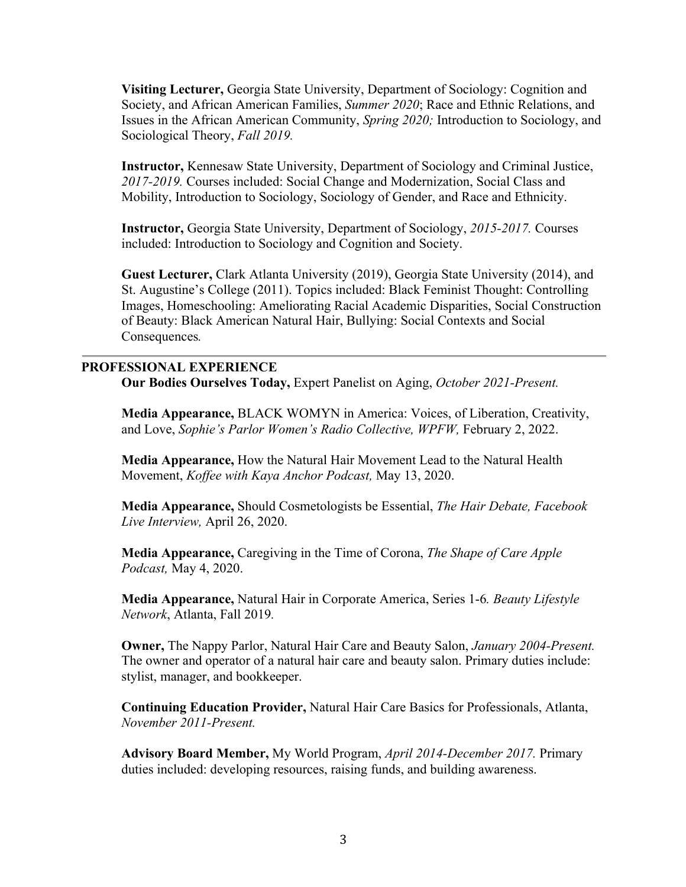**Visiting Lecturer,** Georgia State University, Department of Sociology: Cognition and Society, and African American Families, *Summer 2020*; Race and Ethnic Relations, and Issues in the African American Community, *Spring 2020;* Introduction to Sociology, and Sociological Theory, *Fall 2019.*

**Instructor,** Kennesaw State University, Department of Sociology and Criminal Justice, *2017-2019.* Courses included: Social Change and Modernization, Social Class and Mobility, Introduction to Sociology, Sociology of Gender, and Race and Ethnicity.

**Instructor,** Georgia State University, Department of Sociology, *2015-2017.* Courses included: Introduction to Sociology and Cognition and Society.

**Guest Lecturer,** Clark Atlanta University (2019), Georgia State University (2014), and St. Augustine's College (2011). Topics included: Black Feminist Thought: Controlling Images, Homeschooling: Ameliorating Racial Academic Disparities, Social Construction of Beauty: Black American Natural Hair, Bullying: Social Contexts and Social Consequences*.*

## **PROFESSIONAL EXPERIENCE**

**Our Bodies Ourselves Today,** Expert Panelist on Aging, *October 2021-Present.*

**Media Appearance,** BLACK WOMYN in America: Voices, of Liberation, Creativity, and Love, *Sophie's Parlor Women's Radio Collective, WPFW,* February 2, 2022.

**Media Appearance,** How the Natural Hair Movement Lead to the Natural Health Movement, *Koffee with Kaya Anchor Podcast,* May 13, 2020.

**Media Appearance,** Should Cosmetologists be Essential, *The Hair Debate, Facebook Live Interview,* April 26, 2020.

**Media Appearance,** Caregiving in the Time of Corona, *The Shape of Care Apple Podcast,* May 4, 2020.

**Media Appearance,** Natural Hair in Corporate America, Series 1-6*. Beauty Lifestyle Network*, Atlanta, Fall 2019*.*

**Owner,** The Nappy Parlor, Natural Hair Care and Beauty Salon, *January 2004-Present.*  The owner and operator of a natural hair care and beauty salon. Primary duties include: stylist, manager, and bookkeeper.

**Continuing Education Provider,** Natural Hair Care Basics for Professionals, Atlanta, *November 2011-Present.*

**Advisory Board Member,** My World Program, *April 2014-December 2017.* Primary duties included: developing resources, raising funds, and building awareness.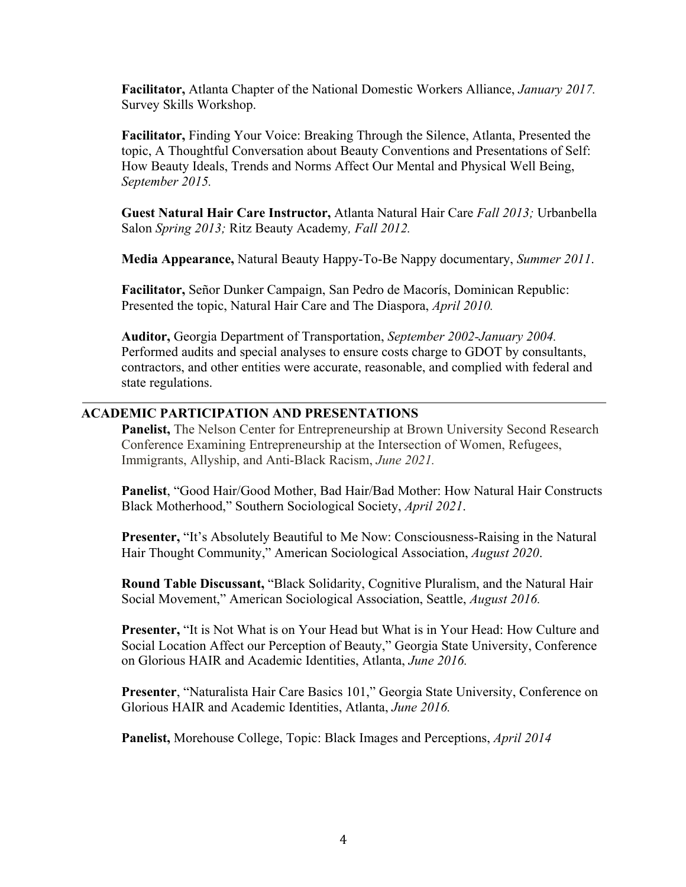**Facilitator,** Atlanta Chapter of the National Domestic Workers Alliance, *January 2017.*  Survey Skills Workshop.

**Facilitator,** Finding Your Voice: Breaking Through the Silence, Atlanta, Presented the topic, A Thoughtful Conversation about Beauty Conventions and Presentations of Self: How Beauty Ideals, Trends and Norms Affect Our Mental and Physical Well Being, *September 2015.*

**Guest Natural Hair Care Instructor,** Atlanta Natural Hair Care *Fall 2013;* Urbanbella Salon *Spring 2013;* Ritz Beauty Academy*, Fall 2012.*

**Media Appearance,** Natural Beauty Happy-To-Be Nappy documentary, *Summer 2011*.

**Facilitator,** Señor Dunker Campaign, San Pedro de Macorís, Dominican Republic: Presented the topic, Natural Hair Care and The Diaspora, *April 2010.*

**Auditor,** Georgia Department of Transportation, *September 2002-January 2004.* Performed audits and special analyses to ensure costs charge to GDOT by consultants, contractors, and other entities were accurate, reasonable, and complied with federal and state regulations.

# **ACADEMIC PARTICIPATION AND PRESENTATIONS**

**Panelist,** The Nelson Center for Entrepreneurship at Brown University Second Research Conference Examining Entrepreneurship at the Intersection of Women, Refugees, Immigrants, Allyship, and Anti-Black Racism, *June 2021.*

**Panelist**, "Good Hair/Good Mother, Bad Hair/Bad Mother: How Natural Hair Constructs Black Motherhood," Southern Sociological Society, *April 2021*.

**Presenter,** "It's Absolutely Beautiful to Me Now: Consciousness-Raising in the Natural Hair Thought Community," American Sociological Association, *August 2020*.

**Round Table Discussant,** "Black Solidarity, Cognitive Pluralism, and the Natural Hair Social Movement," American Sociological Association, Seattle, *August 2016.*

**Presenter,** "It is Not What is on Your Head but What is in Your Head: How Culture and Social Location Affect our Perception of Beauty," Georgia State University, Conference on Glorious HAIR and Academic Identities, Atlanta, *June 2016.*

**Presenter**, "Naturalista Hair Care Basics 101," Georgia State University, Conference on Glorious HAIR and Academic Identities, Atlanta, *June 2016.*

**Panelist,** Morehouse College, Topic: Black Images and Perceptions, *April 2014*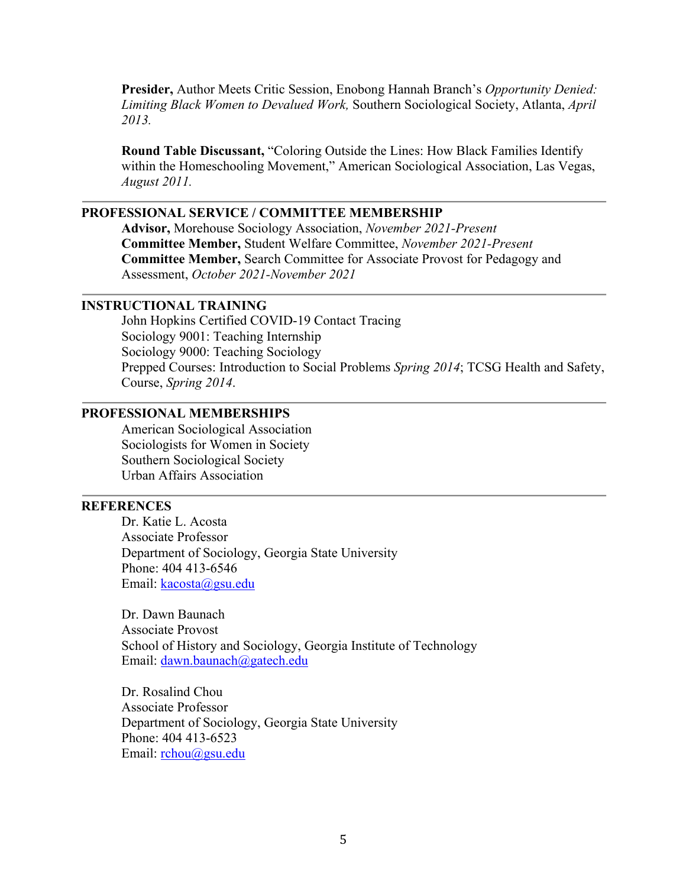**Presider,** Author Meets Critic Session, Enobong Hannah Branch's *Opportunity Denied: Limiting Black Women to Devalued Work,* Southern Sociological Society, Atlanta, *April 2013.*

**Round Table Discussant,** "Coloring Outside the Lines: How Black Families Identify within the Homeschooling Movement," American Sociological Association, Las Vegas, *August 2011.*

## **PROFESSIONAL SERVICE / COMMITTEE MEMBERSHIP**

**Advisor,** Morehouse Sociology Association, *November 2021-Present* **Committee Member,** Student Welfare Committee, *November 2021-Present* **Committee Member,** Search Committee for Associate Provost for Pedagogy and Assessment, *October 2021-November 2021*

#### **INSTRUCTIONAL TRAINING**

John Hopkins Certified COVID-19 Contact Tracing Sociology 9001: Teaching Internship Sociology 9000: Teaching Sociology Prepped Courses: Introduction to Social Problems *Spring 2014*; TCSG Health and Safety, Course, *Spring 2014*.

# **PROFESSIONAL MEMBERSHIPS**

American Sociological Association Sociologists for Women in Society Southern Sociological Society Urban Affairs Association

## **REFERENCES**

Dr. Katie L. Acosta Associate Professor Department of Sociology, Georgia State University Phone: 404 413-6546 Email: kacosta@gsu.edu

Dr. Dawn Baunach Associate Provost School of History and Sociology, Georgia Institute of Technology Email: dawn.baunach@gatech.edu

Dr. Rosalind Chou Associate Professor Department of Sociology, Georgia State University Phone: 404 413-6523 Email: rchou@gsu.edu